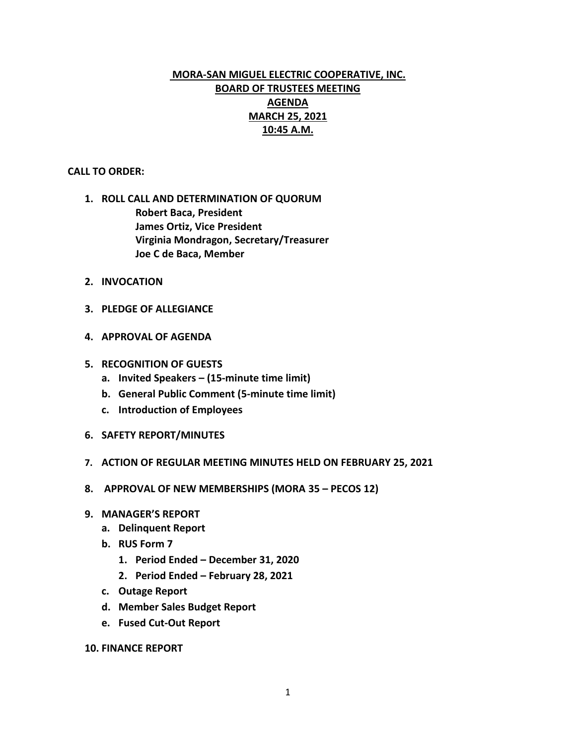# **MORA-SAN MIGUEL ELECTRIC COOPERATIVE, INC. BOARD OF TRUSTEES MEETING AGENDA MARCH 25, 2021 10:45 A.M.**

## **CALL TO ORDER:**

- **1. ROLL CALL AND DETERMINATION OF QUORUM Robert Baca, President James Ortiz, Vice President Virginia Mondragon, Secretary/Treasurer Joe C de Baca, Member**
- **2. INVOCATION**
- **3. PLEDGE OF ALLEGIANCE**
- **4. APPROVAL OF AGENDA**
- **5. RECOGNITION OF GUESTS**
	- **a. Invited Speakers – (15-minute time limit)**
	- **b. General Public Comment (5-minute time limit)**
	- **c. Introduction of Employees**
- **6. SAFETY REPORT/MINUTES**
- **7. ACTION OF REGULAR MEETING MINUTES HELD ON FEBRUARY 25, 2021**
- **8. APPROVAL OF NEW MEMBERSHIPS (MORA 35 – PECOS 12)**
- **9. MANAGER'S REPORT**
	- **a. Delinquent Report**
	- **b. RUS Form 7**
		- **1. Period Ended – December 31, 2020**
		- **2. Period Ended – February 28, 2021**
	- **c. Outage Report**
	- **d. Member Sales Budget Report**
	- **e. Fused Cut-Out Report**
- **10. FINANCE REPORT**